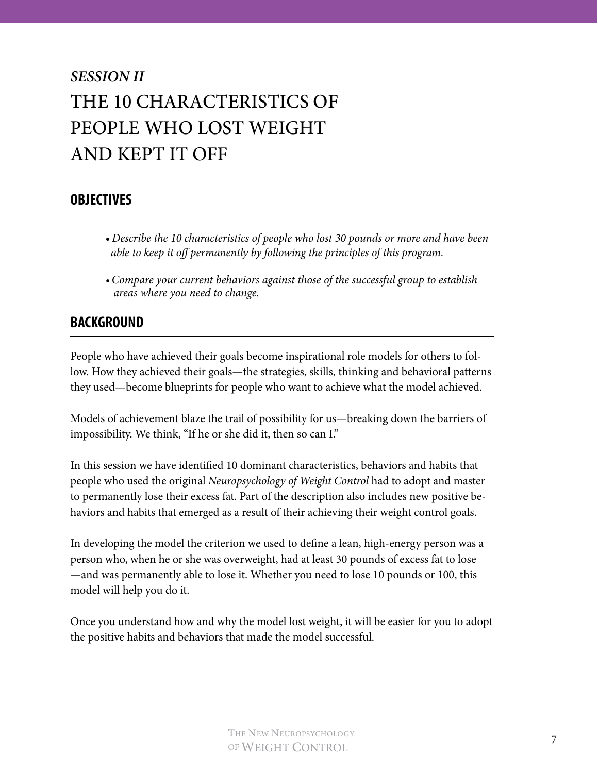# *SESSION II* THE 10 CHARACTERISTICS OF PEOPLE WHO LOST WEIGHT AND KEPT IT OFF

## **OBJECTIVES**

- *Describe the 10 characteristics of people who lost 30 pounds or more and have been able to keep it off permanently by following the principles of this program.*
- *Compare your current behaviors against those of the successful group to establish areas where you need to change.*

## **BACKGROUND**

People who have achieved their goals become inspirational role models for others to follow. How they achieved their goals—the strategies, skills, thinking and behavioral patterns they used—become blueprints for people who want to achieve what the model achieved.

Models of achievement blaze the trail of possibility for us—breaking down the barriers of impossibility. We think, "If he or she did it, then so can I."

In this session we have identified 10 dominant characteristics, behaviors and habits that people who used the original *Neuropsychology of Weight Control* had to adopt and master to permanently lose their excess fat. Part of the description also includes new positive behaviors and habits that emerged as a result of their achieving their weight control goals.

In developing the model the criterion we used to define a lean, high-energy person was a person who, when he or she was overweight, had at least 30 pounds of excess fat to lose —and was permanently able to lose it. Whether you need to lose 10 pounds or 100, this model will help you do it.

Once you understand how and why the model lost weight, it will be easier for you to adopt the positive habits and behaviors that made the model successful.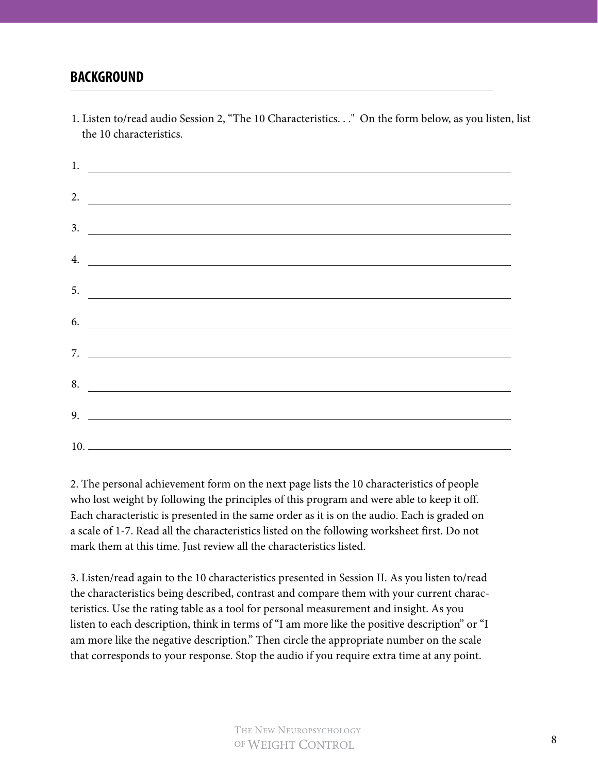#### **BACKGROUND**

1. Listen to/read audio Session 2, "The 10 Characteristics. . ." On the form below, as you listen, list the 10 characteristics.

| $\frac{1}{2}$ . The contract of the contract of the contract of the contract of the contract of the contract of the contract of the contract of the contract of the contract of the contract of the contract of the contract of t |
|-----------------------------------------------------------------------------------------------------------------------------------------------------------------------------------------------------------------------------------|
| 2. $\overline{\qquad \qquad }$                                                                                                                                                                                                    |
| $\frac{3}{2}$                                                                                                                                                                                                                     |
| $\frac{4}{2}$                                                                                                                                                                                                                     |
| $\frac{5}{2}$                                                                                                                                                                                                                     |
| $\frac{6}{2}$                                                                                                                                                                                                                     |
| 7. $\qquad \qquad$                                                                                                                                                                                                                |
| 8.                                                                                                                                                                                                                                |
|                                                                                                                                                                                                                                   |
|                                                                                                                                                                                                                                   |

2. The personal achievement form on the next page lists the 10 characteristics of people who lost weight by following the principles of this program and were able to keep it off. Each characteristic is presented in the same order as it is on the audio. Each is graded on a scale of 1-7. Read all the characteristics listed on the following worksheet first. Do not mark them at this time. Just review all the characteristics listed.

3. Listen/read again to the 10 characteristics presented in Session II. As you listen to/read the characteristics being described, contrast and compare them with your current characteristics. Use the rating table as a tool for personal measurement and insight. As you listen to each description, think in terms of "I am more like the positive description" or "I am more like the negative description." Then circle the appropriate number on the scale that corresponds to your response. Stop the audio if you require extra time at any point.